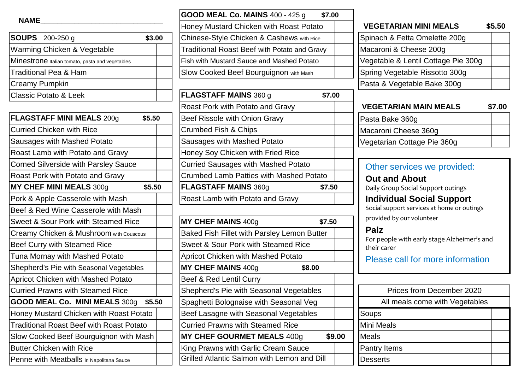### **NAME\_\_\_\_\_\_\_\_\_\_\_\_\_\_\_\_\_\_\_\_\_\_\_\_\_\_\_\_\_**

| <b>SOUPS</b> 200-250 g                          | \$3.00 |
|-------------------------------------------------|--------|
| Warming Chicken & Vegetable                     |        |
| Minestrone Italian tomato, pasta and vegetables |        |
| Traditional Pea & Ham                           |        |
| <b>Creamy Pumpkin</b>                           |        |
| <b>Classic Potato &amp; Leek</b>                |        |

| <b>FLAGSTAFF MINI MEALS 200g</b>                | \$5.50 | Beef Rissole with Onion Gravy                  |        |
|-------------------------------------------------|--------|------------------------------------------------|--------|
| <b>Curried Chicken with Rice</b>                |        | <b>Crumbed Fish &amp; Chips</b>                |        |
| Sausages with Mashed Potato                     |        | Sausages with Mashed Potato                    |        |
| Roast Lamb with Potato and Gravy                |        | Honey Soy Chicken with Fried Rice              |        |
| <b>Corned Silverside with Parsley Sauce</b>     |        | <b>Curried Sausages with Mashed Potato</b>     |        |
| <b>Roast Pork with Potato and Gravy</b>         |        | Crumbed Lamb Patties with Mashed Potato        |        |
| MY CHEF MINI MEALS 300g                         | \$5.50 | <b>FLAGSTAFF MAINS 360g</b>                    | \$7    |
| Pork & Apple Casserole with Mash                |        | Roast Lamb with Potato and Gravy               |        |
| Beef & Red Wine Casserole with Mash             |        |                                                |        |
| <b>Sweet &amp; Sour Pork with Steamed Rice</b>  |        | <b>MY CHEF MAINS 400g</b>                      | \$7    |
| Creamy Chicken & Mushroom with Couscous         |        | Baked Fish Fillet with Parsley Lemon Butter    |        |
| Beef Curry with Steamed Rice                    |        | <b>Sweet &amp; Sour Pork with Steamed Rice</b> |        |
| Tuna Mornay with Mashed Potato                  |        | <b>Apricot Chicken with Mashed Potato</b>      |        |
| Shepherd's Pie with Seasonal Vegetables         |        | <b>MY CHEF MAINS 400g</b>                      | \$8.00 |
| <b>Apricot Chicken with Mashed Potato</b>       |        | Beef & Red Lentil Curry                        |        |
| <b>Curried Prawns with Steamed Rice</b>         |        | Shepherd's Pie with Seasonal Vegetables        |        |
| <b>GOOD MEAL Co. MINI MEALS 300g</b>            | \$5.50 | Spaghetti Bolognaise with Seasonal Veg         |        |
| Honey Mustard Chicken with Roast Potato         |        | Beef Lasagne with Seasonal Vegetables          |        |
| <b>Traditional Roast Beef with Roast Potato</b> |        | <b>Curried Prawns with Steamed Rice</b>        |        |
| Slow Cooked Beef Bourguignon with Mash          |        | <b>MY CHEF GOURMET MEALS 400g</b>              |        |
| <b>Butter Chicken with Rice</b>                 |        | King Prawns with Garlic Cream Sauce            |        |
| Penne with Meatballs in Napolitana Sauce        |        | Grilled Atlantic Salmon with Lemon and Dill    |        |

|                                                 | <b>GOOD MEAL Co. MAINS 400 - 425 g</b><br>\$7.00    |                                                        |
|-------------------------------------------------|-----------------------------------------------------|--------------------------------------------------------|
| NAME                                            | Honey Mustard Chicken with Roast Potato             | <b>VEGETARIAN MINI MEALS</b>                           |
| <b>SOUPS</b> 200-250 g<br>\$3.00                | Chinese-Style Chicken & Cashews with Rice           | Spinach & Fetta Omelette 200g                          |
| Warming Chicken & Vegetable                     | <b>Traditional Roast Beef with Potato and Gravy</b> | Macaroni & Cheese 200g                                 |
| Minestrone Italian tomato, pasta and vegetables | <b>Fish with Mustard Sauce and Mashed Potato</b>    | Vegetable & Lentil Cottage Pie 300g                    |
| Traditional Pea & Ham                           | Slow Cooked Beef Bourguignon with Mash              | Spring Vegetable Rissotto 300g                         |
| Creamy Pumpkin                                  |                                                     | Pasta & Vegetable Bake 300g                            |
| <b>Classic Potato &amp; Leek</b>                | <b>FLAGSTAFF MAINS 360 g</b><br>\$7.00              |                                                        |
|                                                 | Roast Pork with Potato and Gravy                    | <b>VEGETARIAN MAIN MEALS</b>                           |
| <b>FLAGSTAFF MINI MEALS 200g</b><br>\$5.50      | Beef Rissole with Onion Gravy                       | Pasta Bake 360g                                        |
| <b>Curried Chicken with Rice</b>                | <b>Crumbed Fish &amp; Chips</b>                     | Macaroni Cheese 360g                                   |
| Sausages with Mashed Potato                     | Sausages with Mashed Potato                         | Vegetarian Cottage Pie 360g                            |
| Roast Lamb with Potato and Gravy                | Honey Soy Chicken with Fried Rice                   |                                                        |
| <b>Corned Silverside with Parsley Sauce</b>     | <b>Curried Sausages with Mashed Potato</b>          | Other services we provided:                            |
| Roast Pork with Potato and Gravy                | <b>Crumbed Lamb Patties with Mashed Potato</b>      | <b>Out and About</b>                                   |
| MY CHEF MINI MEALS 300g<br>\$5.50               | <b>FLAGSTAFF MAINS 360g</b><br>\$7.50               | Daily Group Social Support outings                     |
| Pork & Apple Casserole with Mash                | Roast Lamb with Potato and Gravy                    | <b>Individual Social Support</b>                       |
| Beef & Red Wine Casserole with Mash             |                                                     | Social support services at home or outings             |
| Sweet & Sour Pork with Steamed Rice             | MY CHEF MAINS 400g<br>\$7.50                        | provided by our volunteer                              |
| Creamy Chicken & Mushroom with Couscous         | Baked Fish Fillet with Parsley Lemon Butter         | <b>Palz</b>                                            |
| <b>Beef Curry with Steamed Rice</b>             | <b>Sweet &amp; Sour Pork with Steamed Rice</b>      | For people with early stage Alzheimer's<br>their carer |
| Tuna Mornay with Mashed Potato                  | <b>Apricot Chicken with Mashed Potato</b>           | Please call for more information                       |
| Shepherd's Pie with Seasonal Vegetables         | <b>MY CHEF MAINS 400g</b><br>\$8.00                 |                                                        |
| <b>Apricot Chicken with Mashed Potato</b>       | Beef & Red Lentil Curry                             |                                                        |
| <b>Curried Prawns with Steamed Rice</b>         | Shepherd's Pie with Seasonal Vegetables             | Prices from December 2020                              |
| GOOD MEAL Co. MINI MEALS 300g<br>\$5.50         | Spaghetti Bolognaise with Seasonal Veg              | All meals come with Vegetable                          |
| Honey Mustard Chicken with Roast Potato         | Beef Lasagne with Seasonal Vegetables               | Soups                                                  |
| <b>Traditional Roast Beef with Roast Potato</b> | <b>Curried Prawns with Steamed Rice</b>             | <b>Mini Meals</b>                                      |
| Slow Cooked Beef Bourguignon with Mash          | <b>MY CHEF GOURMET MEALS 400g</b>                   | \$9.00<br><b>Meals</b>                                 |
| <b>Butter Chicken with Rice</b>                 | King Prawns with Garlic Cream Sauce                 | <b>Pantry Items</b>                                    |
| Penne with Meatballs in Napolitana Sauce        | Grilled Atlantic Salmon with Lemon and Dill         | <b>Desserts</b>                                        |

| <b>VEGETARIAN MINI MEALS</b>        | \$5.50 |
|-------------------------------------|--------|
| Spinach & Fetta Omelette 200g       |        |
| Macaroni & Cheese 200g              |        |
| Vegetable & Lentil Cottage Pie 300g |        |
| Spring Vegetable Rissotto 300g      |        |
| Pasta & Vegetable Bake 300g         |        |

| <b>VEGETARIAN MAIN MEALS</b> | \$7.00 |
|------------------------------|--------|
| Pasta Bake 360g              |        |
| Macaroni Cheese 360g         |        |
| Vegetarian Cottage Pie 360g  |        |

## Other services we provided:

For people with early stage Alzheimer's and their carer

Please call for more information

| <b>Prices from December 2020</b> |  |
|----------------------------------|--|
| All meals come with Vegetables   |  |
| Soups                            |  |
| Mini Meals                       |  |
| Meals                            |  |
| Pantry Items                     |  |
| Desserts                         |  |